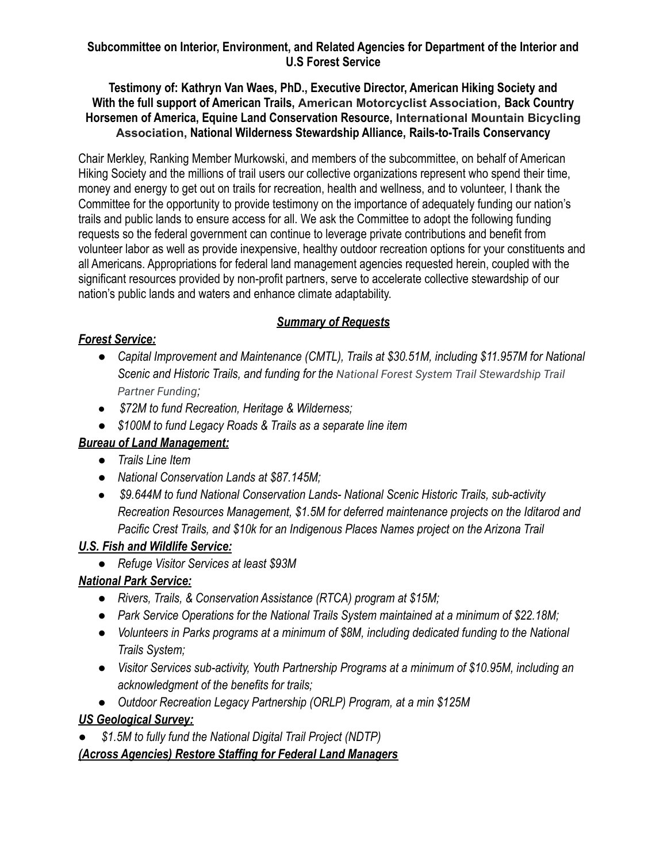#### **Subcommittee on Interior, Environment, and Related Agencies for Department of the Interior and U.S Forest Service**

#### **Testimony of: Kathryn Van Waes, PhD., Executive Director, American Hiking Society and With the full support of American Trails, American Motorcyclist Association, Back Country Horsemen of America, Equine Land Conservation Resource, International Mountain Bicycling Association, National Wilderness Stewardship Alliance, Rails-to-Trails Conservancy**

Chair Merkley, Ranking Member Murkowski, and members of the subcommittee, on behalf of American Hiking Society and the millions of trail users our collective organizations represent who spend their time, money and energy to get out on trails for recreation, health and wellness, and to volunteer, I thank the Committee for the opportunity to provide testimony on the importance of adequately funding our nation's trails and public lands to ensure access for all. We ask the Committee to adopt the following funding requests so the federal government can continue to leverage private contributions and benefit from volunteer labor as well as provide inexpensive, healthy outdoor recreation options for your constituents and all Americans. Appropriations for federal land management agencies requested herein, coupled with the significant resources provided by non-profit partners, serve to accelerate collective stewardship of our nation's public lands and waters and enhance climate adaptability.

#### *Summary of Requests*

## *Forest Service:*

- *● Capital Improvement and Maintenance (CMTL), Trails at \$30.51M, including \$11.957M for National Scenic and Historic Trails, and funding for the National Forest System Trail Stewardship Trail Partner Funding;*
- *● \$72M to fund Recreation, Heritage & Wilderness;*
- *● \$100M to fund Legacy Roads & Trails as a separate line item*

# *Bureau of Land Management:*

- *● Trails Line Item*
- *● National Conservation Lands at \$87.145M;*
- *● \$9.644M to fund National Conservation Lands- National Scenic Historic Trails, sub-activity Recreation Resources Management, \$1.5M for deferred maintenance projects on the Iditarod and Pacific Crest Trails, and \$10k for an Indigenous Places Names project on the Arizona Trail*

# *U.S. Fish and Wildlife Service:*

*● Refuge Visitor Services at least \$93M*

# *National Park Service:*

- *● Rivers, Trails, & Conservation Assistance (RTCA) program at \$15M;*
- *● Park Service Operations for the National Trails System maintained at a minimum of \$22.18M;*
- *● Volunteers in Parks programs at a minimum of \$8M, including dedicated funding to the National Trails System;*
- *● Visitor Services sub-activity, Youth Partnership Programs at a minimum of \$10.95M, including an acknowledgment of the benefits for trails;*
- *● Outdoor Recreation Legacy Partnership (ORLP) Program, at a min \$125M*

### *US Geological Survey:*

*● \$1.5M to fully fund the National Digital Trail Project (NDTP)*

### *(Across Agencies) Restore Staffing for Federal Land Managers*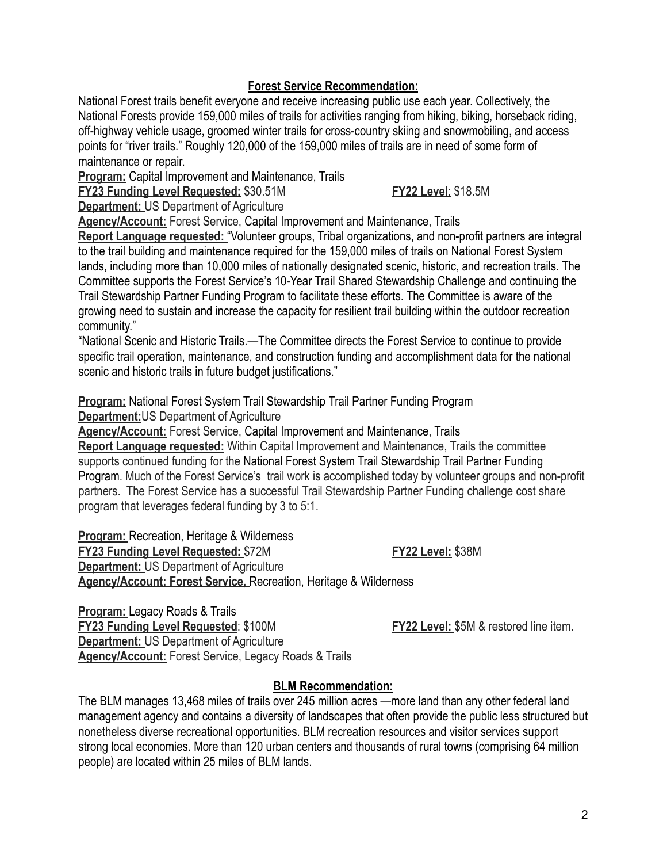#### **Forest Service Recommendation:**

National Forest trails benefit everyone and receive increasing public use each year. Collectively, the National Forests provide 159,000 miles of trails for activities ranging from hiking, biking, horseback riding, off-highway vehicle usage, groomed winter trails for cross-country skiing and snowmobiling, and access points for "river trails." Roughly 120,000 of the 159,000 miles of trails are in need of some form of maintenance or repair.

**Program:** Capital Improvement and Maintenance, Trails

**FY23 Funding Level Requested:** \$30.51M **FY22 Level**: \$18.5M

**Department: US Department of Agriculture** 

**Agency/Account:** Forest Service, Capital Improvement and Maintenance, Trails

**Report Language requested:** "Volunteer groups, Tribal organizations, and non-profit partners are integral to the trail building and maintenance required for the 159,000 miles of trails on National Forest System lands, including more than 10,000 miles of nationally designated scenic, historic, and recreation trails. The Committee supports the Forest Service's 10-Year Trail Shared Stewardship Challenge and continuing the Trail Stewardship Partner Funding Program to facilitate these efforts. The Committee is aware of the growing need to sustain and increase the capacity for resilient trail building within the outdoor recreation community."

"National Scenic and Historic Trails.—The Committee directs the Forest Service to continue to provide specific trail operation, maintenance, and construction funding and accomplishment data for the national scenic and historic trails in future budget justifications."

**Program:** National Forest System Trail Stewardship Trail Partner Funding Program

**Department:**US Department of Agriculture

**Agency/Account:** Forest Service, Capital Improvement and Maintenance, Trails

**Report Language requested:** Within Capital Improvement and Maintenance, Trails the committee supports continued funding for the National Forest System Trail Stewardship Trail Partner Funding Program. Much of the Forest Service's trail work is accomplished today by volunteer groups and non-profit partners. The Forest Service has a successful Trail Stewardship Partner Funding challenge cost share program that leverages federal funding by 3 to 5:1.

**Program:** Recreation, Heritage & Wilderness **FY23 Funding Level Requested:** \$72M **FY22 Level:** \$38M **Department:** US Department of Agriculture **Agency/Account: Forest Service,** Recreation, Heritage & Wilderness

**Program:** Legacy Roads & Trails **FY23 Funding Level Requested**: \$100M **FY22 Level:** \$5M & restored line item. **Department:** US Department of Agriculture **Agency/Account:** Forest Service, Legacy Roads & Trails

### **BLM Recommendation:**

The BLM manages 13,468 miles of trails over 245 million acres —more land than any other federal land management agency and contains a diversity of landscapes that often provide the public less structured but nonetheless diverse recreational opportunities. BLM recreation resources and visitor services support strong local economies. More than 120 urban centers and thousands of rural towns (comprising 64 million people) are located within 25 miles of BLM lands.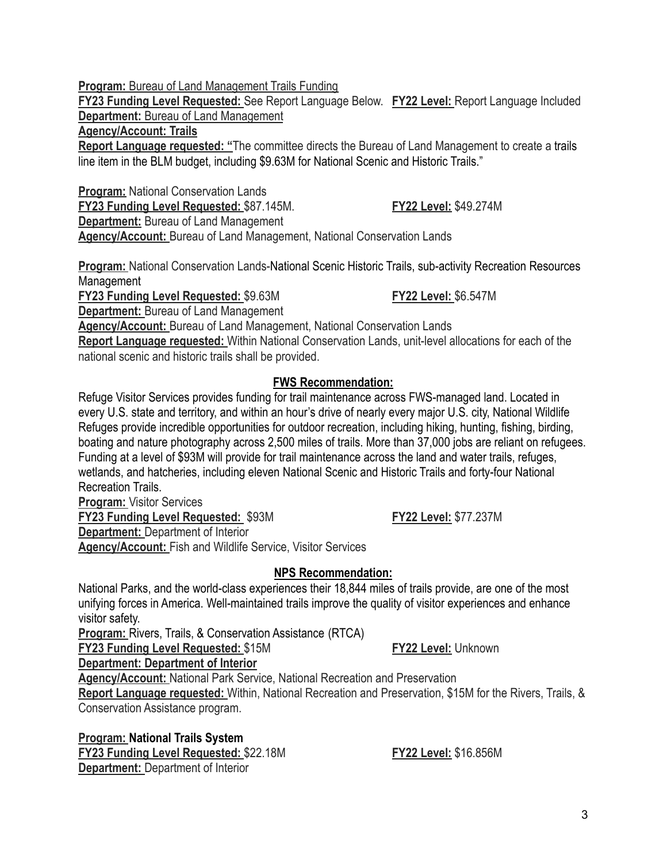**Program:** Bureau of Land Management Trails Funding

**FY23 Funding Level Requested:** See Report Language Below. **FY22 Level:** Report Language Included **Department:** Bureau of Land Management

**Agency/Account: Trails**

**Report Language requested: "**The committee directs the Bureau of Land Management to create a trails line item in the BLM budget, including \$9.63M for National Scenic and Historic Trails."

**Program:** National Conservation Lands

**FY23 Funding Level Requested:** \$87.145M. **FY22 Level:** \$49.274M

**Department:** Bureau of Land Management

**Agency/Account:** Bureau of Land Management, National Conservation Lands

**Program:** National Conservation Lands-National Scenic Historic Trails, sub-activity Recreation Resources Management

**FY23 Funding Level Requested:** \$9.63M **FY22 Level:** \$6.547M

**Department:** Bureau of Land Management

**Agency/Account:** Bureau of Land Management, National Conservation Lands **Report Language requested:** Within National Conservation Lands, unit-level allocations for each of the national scenic and historic trails shall be provided.

## **FWS Recommendation:**

Refuge Visitor Services provides funding for trail maintenance across FWS-managed land. Located in every U.S. state and territory, and within an hour's drive of nearly every major U.S. city, National Wildlife Refuges provide incredible opportunities for outdoor recreation, including hiking, hunting, fishing, birding, boating and nature photography across 2,500 miles of trails. More than 37,000 jobs are reliant on refugees. Funding at a level of \$93M will provide for trail maintenance across the land and water trails, refuges, wetlands, and hatcheries, including eleven National Scenic and Historic Trails and forty-four National Recreation Trails.

**Program:** Visitor Services

**FY23 Funding Level Requested:** \$93M **FY22 Level:** \$77.237M

**Department:** Department of Interior

**Agency/Account:** Fish and Wildlife Service, Visitor Services

### **NPS Recommendation:**

National Parks, and the world-class experiences their 18,844 miles of trails provide, are one of the most unifying forces in America. Well-maintained trails improve the quality of visitor experiences and enhance visitor safety.

**Program:** Rivers, Trails, & Conservation Assistance (RTCA)

**FY23 Funding Level Requested:** \$15M **FY22 Level:** Unknown

**Department: Department of Interior**

**Agency/Account:** National Park Service, National Recreation and Preservation

**Report Language requested:** Within, National Recreation and Preservation, \$15M for the Rivers, Trails, & Conservation Assistance program.

**Program: National Trails System FY23 Funding Level Requested:** \$22.18M **FY22 Level:** \$16.856M **Department:** Department of Interior